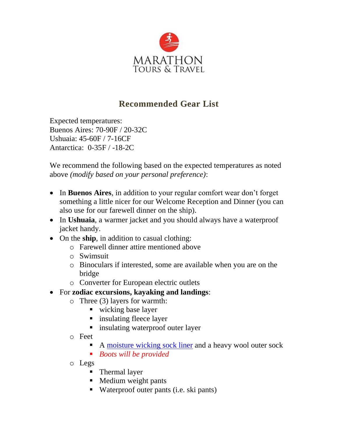

## **Recommended Gear List**

Expected temperatures: Buenos Aires: 70-90F / 20-32C Ushuaia: 45-60F / 7-16CF Antarctica: 0-35F / -18-2C

We recommend the following based on the expected temperatures as noted above *(modify based on your personal preference)*:

- In **Buenos Aires**, in addition to your regular comfort wear don't forget something a little nicer for our Welcome Reception and Dinner (you can also use for our farewell dinner on the ship).
- In **Ushuaia**, a warmer jacket and you should always have a waterproof jacket handy.
- On the **ship**, in addition to casual clothing:
	- o Farewell dinner attire mentioned above
	- o Swimsuit
	- o Binoculars if interested, some are available when you are on the bridge
	- o Converter for European electric outlets
- For **zodiac excursions, kayaking and landings**:
	- o Three (3) layers for warmth:
		- wicking base layer
		- insulating fleece layer
		- insulating waterproof outer layer
	- o Feet
		- A [moisture wicking sock liner](https://www.rei.com/search.html?q=sock+liner&ir=q%3Asock+liner&r=category%3Afootwear%3Bfeatures%3AMoisture%20Wicking) and a heavy wool outer sock
		- *Boots will be provided*
	- o Legs
		- Thermal layer
		- Medium weight pants
		- Waterproof outer pants (i.e. ski pants)